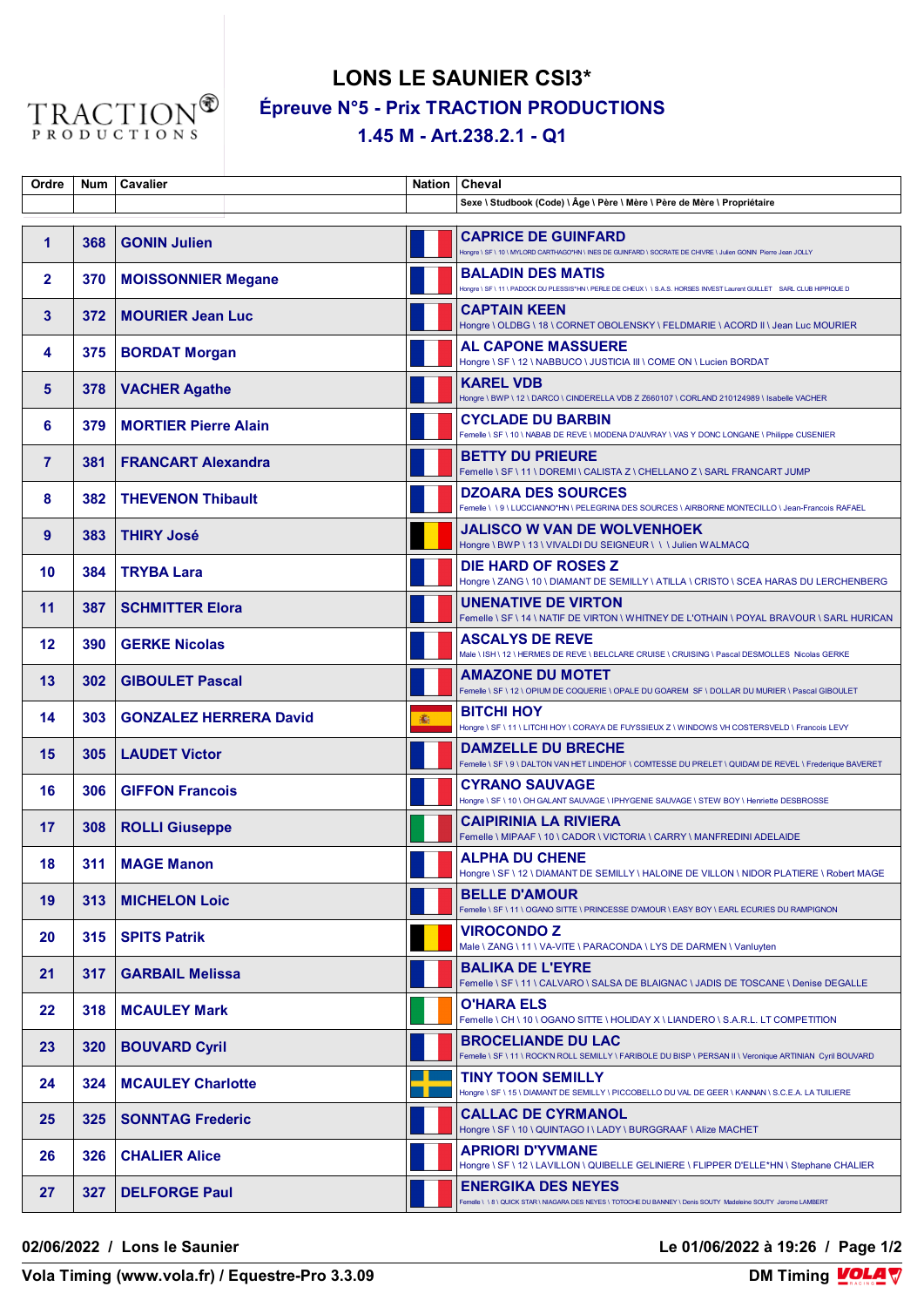

## **LONS LE SAUNIER CSI3\* Épreuve N°5 - Prix TRACTION PRODUCTIONS 1.45 M - Art.238.2.1 - Q1**

| Ordre          |     | Num   Cavalier                |    | Nation   Cheval                                                                                                                                    |
|----------------|-----|-------------------------------|----|----------------------------------------------------------------------------------------------------------------------------------------------------|
|                |     |                               |    | Sexe \ Studbook (Code) \ Âge \ Père \ Mère \ Père de Mère \ Propriétaire                                                                           |
| $\mathbf{1}$   | 368 | <b>GONIN Julien</b>           |    | <b>CAPRICE DE GUINFARD</b><br>Hongre \ SF \ 10 \ MYLORD CARTHAGO*HN \ INES DE GUINFARD \ SOCRATE DE CHIVRE \ Julien GONIN Pierre Jean JOLLY        |
| $\overline{2}$ | 370 | <b>MOISSONNIER Megane</b>     |    | <b>BALADIN DES MATIS</b><br>Hongre \ SF \ 11 \ PADOCK DU PLESSIS*HN \ PERLE DE CHEUX \ \ S.A.S. HORSES INVEST Laurent GUILLET SARL CLUB HIPPIQUE D |
| 3              | 372 | <b>MOURIER Jean Luc</b>       |    | <b>CAPTAIN KEEN</b><br>Hongre \ OLDBG \ 18 \ CORNET OBOLENSKY \ FELDMARIE \ ACORD II \ Jean Luc MOURIER                                            |
| 4              | 375 | <b>BORDAT Morgan</b>          |    | <b>AL CAPONE MASSUERE</b><br>Hongre \ SF \ 12 \ NABBUCO \ JUSTICIA III \ COME ON \ Lucien BORDAT                                                   |
| 5              | 378 | <b>VACHER Agathe</b>          |    | <b>KAREL VDB</b><br>Hongre \ BWP \ 12 \ DARCO \ CINDERELLA VDB Z Z660107 \ CORLAND 210124989 \ Isabelle VACHER                                     |
| 6              | 379 | <b>MORTIER Pierre Alain</b>   |    | <b>CYCLADE DU BARBIN</b><br>Femelle \ SF \ 10 \ NABAB DE REVE \ MODENA D'AUVRAY \ VAS Y DONC LONGANE \ Philippe CUSENIER                           |
| $\overline{7}$ | 381 | <b>FRANCART Alexandra</b>     |    | <b>BETTY DU PRIEURE</b><br>Femelle \ SF \ 11 \ DOREMI \ CALISTA Z \ CHELLANO Z \ SARL FRANCART JUMP                                                |
| 8              | 382 | <b>THEVENON Thibault</b>      |    | <b>DZOARA DES SOURCES</b><br>Femelle \ \ 9 \ LUCCIANNO*HN \ PELEGRINA DES SOURCES \ AIRBORNE MONTECILLO \ Jean-Francois RAFAEL                     |
| 9              | 383 | <b>THIRY José</b>             |    | <b>JALISCO W VAN DE WOLVENHOEK</b><br>Hongre \ BWP \ 13 \ VIVALDI DU SEIGNEUR \ \ \ Julien WALMACQ                                                 |
| 10             | 384 | <b>TRYBA Lara</b>             |    | DIE HARD OF ROSES Z<br>Hongre \ ZANG \ 10 \ DIAMANT DE SEMILLY \ ATILLA \ CRISTO \ SCEA HARAS DU LERCHENBERG                                       |
| 11             | 387 | <b>SCHMITTER Elora</b>        |    | <b>UNENATIVE DE VIRTON</b><br>Femelle \ SF \ 14 \ NATIF DE VIRTON \ WHITNEY DE L'OTHAIN \ POYAL BRAVOUR \ SARL HURICAN                             |
| 12             | 390 | <b>GERKE Nicolas</b>          |    | <b>ASCALYS DE REVE</b><br>Male \ ISH\ 12\ HERMES DE REVE \ BELCLARE CRUISE \ CRUISING \ Pascal DESMOLLES Nicolas GERKE                             |
| 13             | 302 | <b>GIBOULET Pascal</b>        |    | <b>AMAZONE DU MOTET</b><br>Femelle \ SF \ 12 \ OPIUM DE COQUERIE \ OPALE DU GOAREM SF \ DOLLAR DU MURIER \ Pascal GIBOULET                         |
| 14             | 303 | <b>GONZALEZ HERRERA David</b> | 16 | <b>BITCHI HOY</b><br>Hongre \ SF \ 11 \ LITCHI HOY \ CORAYA DE FUYSSIEUX Z \ WINDOWS VH COSTERSVELD \ Francois LEVY                                |
| 15             | 305 | <b>LAUDET Victor</b>          |    | <b>DAMZELLE DU BRECHE</b><br>Femelle \ SF \ 9 \ DALTON VAN HET LINDEHOF \ COMTESSE DU PRELET \ QUIDAM DE REVEL \ Frederique BAVERET                |
| 16             | 306 | <b>GIFFON Francois</b>        |    | <b>CYRANO SAUVAGE</b><br>Hongre \ SF \ 10 \ OH GALANT SAUVAGE \ IPHYGENIE SAUVAGE \ STEW BOY \ Henriette DESBROSSE                                 |
| 17             | 308 | <b>ROLLI Giuseppe</b>         |    | <b>CAIPIRINIA LA RIVIERA</b><br>Femelle \ MIPAAF \ 10 \ CADOR \ VICTORIA \ CARRY \ MANFREDINI ADELAIDE                                             |
| 18             | 311 | <b>MAGE Manon</b>             |    | <b>ALPHA DU CHENE</b><br>Hongre \ SF \ 12 \ DIAMANT DE SEMILLY \ HALOINE DE VILLON \ NIDOR PLATIERE \ Robert MAGE                                  |
| 19             | 313 | <b>MICHELON Loic</b>          |    | <b>BELLE D'AMOUR</b><br>Femelle \ SF \ 11 \ OGANO SITTE \ PRINCESSE D'AMOUR \ EASY BOY \ EARL ECURIES DU RAMPIGNON                                 |
| 20             | 315 | <b>SPITS Patrik</b>           |    | <b>VIROCONDO Z</b><br>Male \ ZANG \ 11 \ VA-VITE \ PARACONDA \ LYS DE DARMEN \ Vanluyten                                                           |
| 21             | 317 | <b>GARBAIL Melissa</b>        |    | <b>BALIKA DE L'EYRE</b><br>Femelle \ SF \ 11 \ CALVARO \ SALSA DE BLAIGNAC \ JADIS DE TOSCANE \ Denise DEGALLE                                     |
| 22             | 318 | <b>MCAULEY Mark</b>           |    | <b>O'HARA ELS</b><br>Femelle \ CH \ 10 \ OGANO SITTE \ HOLIDAY X \ LIANDERO \ S.A.R.L. LT COMPETITION                                              |
| 23             | 320 | <b>BOUVARD Cyril</b>          |    | <b>BROCELIANDE DU LAC</b><br>Femelle \ SF \ 11 \ ROCK'N ROLL SEMILLY \ FARIBOLE DU BISP \ PERSAN II \ Veronique ARTINIAN Cyril BOUVARD             |
| 24             | 324 | <b>MCAULEY Charlotte</b>      |    | <b>TINY TOON SEMILLY</b><br>Hongre \ SF \ 15 \ DIAMANT DE SEMILLY \ PICCOBELLO DU VAL DE GEER \ KANNAN \ S.C.E.A. LA TUILIERE                      |
| 25             | 325 | <b>SONNTAG Frederic</b>       |    | <b>CALLAC DE CYRMANOL</b><br>Hongre \ SF \ 10 \ QUINTAGO I \ LADY \ BURGGRAAF \ Alize MACHET                                                       |
| 26             | 326 | <b>CHALIER Alice</b>          |    | <b>APRIORI D'YVMANE</b><br>Hongre \ SF \ 12 \ LAVILLON \ QUIBELLE GELINIERE \ FLIPPER D'ELLE*HN \ Stephane CHALIER                                 |
| 27             | 327 | <b>DELFORGE Paul</b>          |    | <b>ENERGIKA DES NEYES</b><br>Femelle \ \ 8 \ QUICK STAR \ NIAGARA DES NEYES \ TOTOCHE DU BANNEY \ Denis SOUTY Madeleine SOUTY Jerome LAMBERT       |

**02/06/2022 / Lons le Saunier Le 01/06/2022 à 19:26 / Page 1/2**

**Vola Timing (www.vola.fr) / Equestre-Pro 3.3.09**